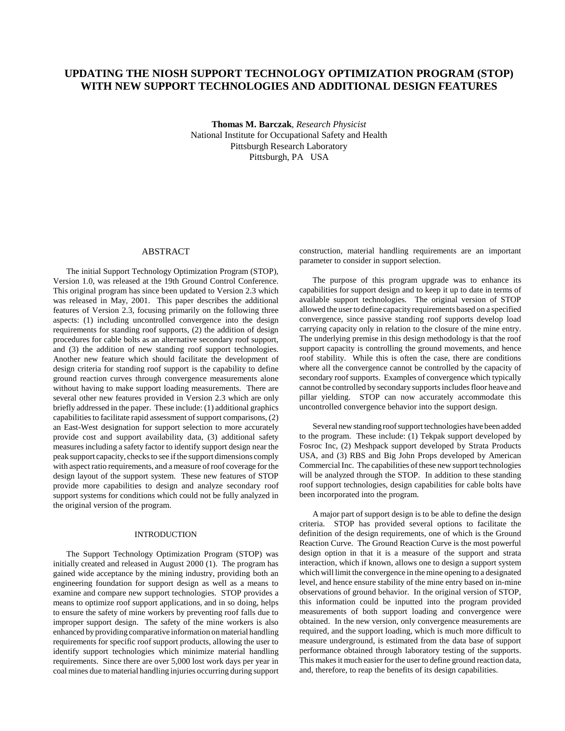# **UPDATING THE NIOSH SUPPORT TECHNOLOGY OPTIMIZATION PROGRAM (STOP) WITH NEW SUPPORT TECHNOLOGIES AND ADDITIONAL DESIGN FEATURES**

**Thomas M. Barczak**, *Research Physicist* National Institute for Occupational Safety and Health Pittsburgh Research Laboratory Pittsburgh, PA USA

# ABSTRACT

The initial Support Technology Optimization Program (STOP), Version 1.0, was released at the 19th Ground Control Conference. This original program has since been updated to Version 2.3 which was released in May, 2001. This paper describes the additional features of Version 2.3, focusing primarily on the following three aspects: (1) including uncontrolled convergence into the design requirements for standing roof supports, (2) the addition of design procedures for cable bolts as an alternative secondary roof support, and (3) the addition of new standing roof support technologies. Another new feature which should facilitate the development of design criteria for standing roof support is the capability to define ground reaction curves through convergence measurements alone without having to make support loading measurements. There are several other new features provided in Version 2.3 which are only briefly addressed in the paper. These include: (1) additional graphics capabilities to facilitate rapid assessment of support comparisons, (2) an East-West designation for support selection to more accurately provide cost and support availability data, (3) additional safety measures including a safety factor to identify support design near the peak support capacity, checks to see if the support dimensions comply with aspect ratio requirements, and a measure of roof coverage for the design layout of the support system. These new features of STOP provide more capabilities to design and analyze secondary roof support systems for conditions which could not be fully analyzed in the original version of the program.

# INTRODUCTION

The Support Technology Optimization Program (STOP) was initially created and released in August 2000 (1). The program has gained wide acceptance by the mining industry, providing both an engineering foundation for support design as well as a means to examine and compare new support technologies. STOP provides a means to optimize roof support applications, and in so doing, helps to ensure the safety of mine workers by preventing roof falls due to improper support design. The safety of the mine workers is also enhanced by providing comparative information on material handling requirements for specific roof support products, allowing the user to identify support technologies which minimize material handling requirements. Since there are over 5,000 lost work days per year in coal mines due to material handling injuries occurring during support construction, material handling requirements are an important parameter to consider in support selection.

The purpose of this program upgrade was to enhance its capabilities for support design and to keep it up to date in terms of available support technologies. The original version of STOP allowed the user to define capacity requirements based on a specified convergence, since passive standing roof supports develop load carrying capacity only in relation to the closure of the mine entry. The underlying premise in this design methodology is that the roof support capacity is controlling the ground movements, and hence roof stability. While this is often the case, there are conditions where all the convergence cannot be controlled by the capacity of secondary roof supports. Examples of convergence which typically cannot be controlled by secondary supports includes floor heave and pillar yielding. STOP can now accurately accommodate this uncontrolled convergence behavior into the support design.

Several new standing roof support technologies have been added to the program. These include: (1) Tekpak support developed by Fosroc Inc, (2) Meshpack support developed by Strata Products USA, and (3) RBS and Big John Props developed by American Commercial Inc. The capabilities of these new support technologies will be analyzed through the STOP. In addition to these standing roof support technologies, design capabilities for cable bolts have been incorporated into the program.

A major part of support design is to be able to define the design criteria. STOP has provided several options to facilitate the definition of the design requirements, one of which is the Ground Reaction Curve. The Ground Reaction Curve is the most powerful design option in that it is a measure of the support and strata interaction, which if known, allows one to design a support system which will limit the convergence in the mine opening to a designated level, and hence ensure stability of the mine entry based on in-mine observations of ground behavior. In the original version of STOP, this information could be inputted into the program provided measurements of both support loading and convergence were obtained. In the new version, only convergence measurements are required, and the support loading, which is much more difficult to measure underground, is estimated from the data base of support performance obtained through laboratory testing of the supports. This makes it much easier for the user to define ground reaction data, and, therefore, to reap the benefits of its design capabilities.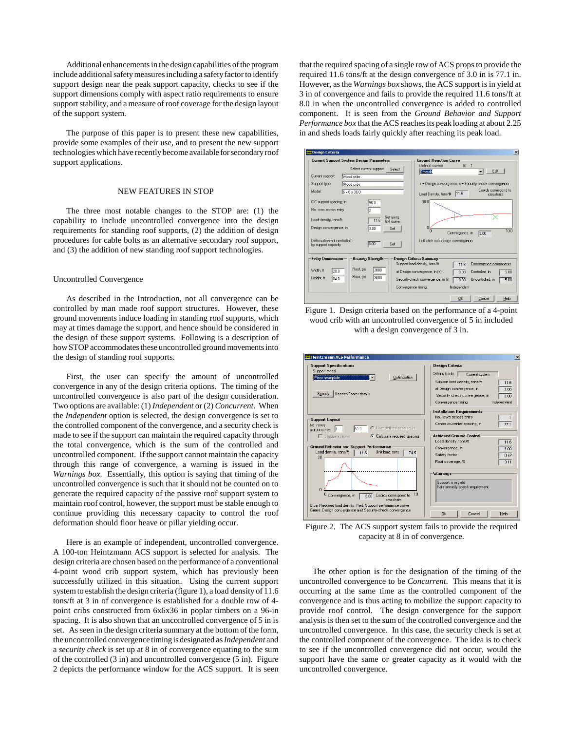Additional enhancements in the design capabilities of the program include additional safety measures including a safety factor to identify support design near the peak support capacity, checks to see if the support dimensions comply with aspect ratio requirements to ensure support stability, and a measure of roof coverage for the design layout of the support system.

The purpose of this paper is to present these new capabilities, provide some examples of their use, and to present the new support technologies which have recently become available for secondary roof support applications.

#### NEW FEATURES IN STOP

The three most notable changes to the STOP are: (1) the capability to include uncontrolled convergence into the design requirements for standing roof supports, (2) the addition of design procedures for cable bolts as an alternative secondary roof support, and (3) the addition of new standing roof support technologies.

## Uncontrolled Convergence

As described in the Introduction, not all convergence can be controlled by man made roof support structures. However, these ground movements induce loading in standing roof supports, which may at times damage the support, and hence should be considered in the design of these support systems. Following is a description of how STOP accommodates these uncontrolled ground movements into the design of standing roof supports.

First, the user can specify the amount of uncontrolled convergence in any of the design criteria options. The timing of the uncontrolled convergence is also part of the design consideration. Two options are available: (1) *Independent* or (2) *Concurrent*. When the *Independent* option is selected, the design convergence is set to the controlled component of the convergence, and a security check is made to see if the support can maintain the required capacity through the total convergence, which is the sum of the controlled and uncontrolled component. If the support cannot maintain the capacity through this range of convergence, a warning is issued in the *Warnings box*. Essentially, this option is saying that timing of the uncontrolled convergence is such that it should not be counted on to generate the required capacity of the passive roof support system to maintain roof control, however, the support must be stable enough to continue providing this necessary capacity to control the roof deformation should floor heave or pillar yielding occur.

Here is an example of independent, uncontrolled convergence. A 100-ton Heintzmann ACS support is selected for analysis. The design criteria are chosen based on the performance of a conventional 4-point wood crib support system, which has previously been successfully utilized in this situation. Using the current support system to establish the design criteria (figure 1), a load density of 11.6 tons/ft at 3 in of convergence is established for a double row of 4 point cribs constructed from 6x6x36 in poplar timbers on a 96-in spacing. It is also shown that an uncontrolled convergence of 5 in is set. As seen in the design criteria summary at the bottom of the form, the uncontrolled convergence timing is designated as *Independent* and a *security check* is set up at 8 in of convergence equating to the sum of the controlled (3 in) and uncontrolled convergence (5 in). Figure 2 depicts the performance window for the ACS support. It is seen that the required spacing of a single row of ACS props to provide the required 11.6 tons/ft at the design convergence of 3.0 in is 77.1 in. However, as the *Warnings box* shows, the ACS support is in yield at 3 in of convergence and fails to provide the required 11.6 tons/ft at 8.0 in when the uncontrolled convergence is added to controlled component. It is seen from the *Ground Behavior and Support Performance box* that the ACS reaches its peak loading at about 2.25 in and sheds loads fairly quickly after reaching its peak load.







Figure 2. The ACS support system fails to provide the required capacity at 8 in of convergence.

The other option is for the designation of the timing of the uncontrolled convergence to be *Concurrent*. This means that it is occurring at the same time as the controlled component of the convergence and is thus acting to mobilize the support capacity to provide roof control. The design convergence for the support analysis is then set to the sum of the controlled convergence and the uncontrolled convergence. In this case, the security check is set at the controlled component of the convergence. The idea is to check to see if the uncontrolled convergence did not occur, would the support have the same or greater capacity as it would with the uncontrolled convergence.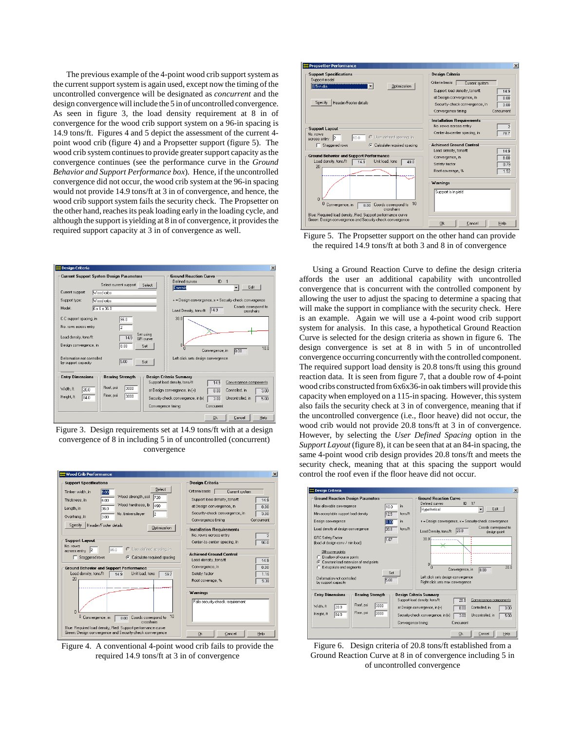The previous example of the 4-point wood crib support system as the current support system is again used, except now the timing of the uncontrolled convergence will be designated as *concurrent* and the design convergence will include the 5 in of uncontrolled convergence. As seen in figure 3, the load density requirement at 8 in of convergence for the wood crib support system on a 96-in spacing is 14.9 tons/ft. Figures 4 and 5 depict the assessment of the current 4 point wood crib (figure 4) and a Propsetter support (figure 5). The wood crib system continues to provide greater support capacity as the convergence continues (see the performance curve in the *Ground Behavior and Support Performance box*). Hence, if the uncontrolled convergence did not occur, the wood crib system at the 96-in spacing would not provide 14.9 tons/ft at 3 in of convergence, and hence, the wood crib support system fails the security check. The Propsetter on the other hand, reaches its peak loading early in the loading cycle, and although the support is yielding at 8 in of convergence, it provides the required support capacity at 3 in of convergence as well.



Figure 3. Design requirements set at 14.9 tons/ft with at a design convergence of 8 in including 5 in of uncontrolled (concurrent) convergence



Figure 4. A conventional 4-point wood crib fails to provide the required 14.9 tons/ft at 3 in of convergence



Figure 5. The Propsetter support on the other hand can provide the required 14.9 tons/ft at both 3 and 8 in of convergence

Using a Ground Reaction Curve to define the design criteria affords the user an additional capability with uncontrolled convergence that is concurrent with the controlled component by allowing the user to adjust the spacing to determine a spacing that will make the support in compliance with the security check. Here is an example. Again we will use a 4-point wood crib support system for analysis. In this case, a hypothetical Ground Reaction Curve is selected for the design criteria as shown in figure 6. The design convergence is set at 8 in with 5 in of uncontrolled convergence occurring concurrently with the controlled component. The required support load density is 20.8 tons/ft using this ground reaction data. It is seen from figure 7, that a double row of 4-point wood cribs constructed from 6x6x36-in oak timbers will provide this capacity when employed on a 115-in spacing. However, this system also fails the security check at 3 in of convergence, meaning that if the uncontrolled convergence (i.e., floor heave) did not occur, the wood crib would not provide 20.8 tons/ft at 3 in of convergence. However, by selecting the *User Defined Spacing* option in the *Support Layout* (figure 8), it can be seen that at an 84-in spacing, the same 4-point wood crib design provides 20.8 tons/ft and meets the security check, meaning that at this spacing the support would control the roof even if the floor heave did not occur.



Figure 6. Design criteria of 20.8 tons/ft established from a Ground Reaction Curve at 8 in of convergence including 5 in of uncontrolled convergence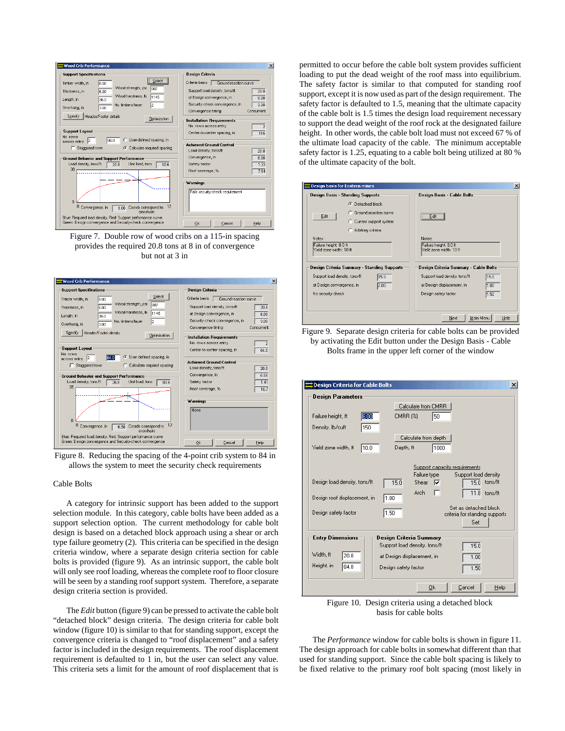| <b>Wood Crib Performance</b>                                                                                                                                                                                                                                                                                                                                                                                                                                                                                                                                                                         | $\vert x \vert$                                                                                                                                                                                                                                                                                                                                                                                                                                                                                                             |
|------------------------------------------------------------------------------------------------------------------------------------------------------------------------------------------------------------------------------------------------------------------------------------------------------------------------------------------------------------------------------------------------------------------------------------------------------------------------------------------------------------------------------------------------------------------------------------------------------|-----------------------------------------------------------------------------------------------------------------------------------------------------------------------------------------------------------------------------------------------------------------------------------------------------------------------------------------------------------------------------------------------------------------------------------------------------------------------------------------------------------------------------|
| <b>Support Specifications</b>                                                                                                                                                                                                                                                                                                                                                                                                                                                                                                                                                                        | Design Criteria                                                                                                                                                                                                                                                                                                                                                                                                                                                                                                             |
| Select<br>Timber width, in<br>00.8<br>Wood strenath, psi<br>987<br>Thickness, in<br>6.00<br>Wood hardness, lb<br>1145<br>36.0<br>Length, in<br>No. timbers/layer<br>3.00<br>Overhang, in<br>Specify<br>Header/Footer details<br>Optimization<br><b>Support Lavout</b><br>No. rows<br>User-defined spacing, in<br>96.0<br> 2<br>across entry<br>Staggered rows<br>C Calculate required spacing<br>п<br><b>Ground Behavior and Support Performance</b><br>Load density, tons/ft<br>Unit load, tons<br>99.6<br>20.8<br>30<br>n<br>12<br>U<br>8.00 Coords correspond to<br>Convergence, in<br>crosshairs | Criteria basis<br>Ground reaction curve<br>Support load density, tons/ft<br>20.8<br>at Design convergence, in<br>800<br>Security-check convergence, in<br>3.00<br>Convergence timing<br>Concurrent<br><b>Installation Requirements</b><br>No. rows across entry<br>$\overline{2}$<br>Center-to-center spacing, in<br>115<br><b>Achieved Ground Control</b><br>Load density, tons/ft<br>20.8<br>Convergence, in<br>8.00<br>Safety factor<br>1.33<br>Roof coverage, %<br>7.84<br>Warnings<br>Fails security-check requirement |
| Blue: Required load density, Red: Support performance curve<br>Green: Design convergence and Security-check convergence                                                                                                                                                                                                                                                                                                                                                                                                                                                                              | Ok<br>Cancel<br>Help                                                                                                                                                                                                                                                                                                                                                                                                                                                                                                        |

Figure 7. Double row of wood cribs on a 115-in spacing provides the required 20.8 tons at 8 in of convergence but not at 3 in



Figure 8. Reducing the spacing of the 4-point crib system to 84 in allows the system to meet the security check requirements

#### Cable Bolts

A category for intrinsic support has been added to the support selection module. In this category, cable bolts have been added as a support selection option. The current methodology for cable bolt design is based on a detached block approach using a shear or arch type failure geometry (2). This criteria can be specified in the design criteria window, where a separate design criteria section for cable bolts is provided (figure 9). As an intrinsic support, the cable bolt will only see roof loading, whereas the complete roof to floor closure will be seen by a standing roof support system. Therefore, a separate design criteria section is provided.

The *Edit* button (figure 9) can be pressed to activate the cable bolt "detached block" design criteria. The design criteria for cable bolt window (figure 10) is similar to that for standing support, except the convergence criteria is changed to "roof displacement" and a safety factor is included in the design requirements. The roof displacement requirement is defaulted to 1 in, but the user can select any value. This criteria sets a limit for the amount of roof displacement that is permitted to occur before the cable bolt system provides sufficient loading to put the dead weight of the roof mass into equilibrium. The safety factor is similar to that computed for standing roof support, except it is now used as part of the design requirement. The safety factor is defaulted to 1.5, meaning that the ultimate capacity of the cable bolt is 1.5 times the design load requirement necessary to support the dead weight of the roof rock at the designated failure height. In other words, the cable bolt load must not exceed 67 % of the ultimate load capacity of the cable. The minimum acceptable safety factor is 1.25, equating to a cable bolt being utilized at 80 % of the ultimate capacity of the bolt.

| Edit<br>Notes:<br>Failure height: 8.0 ft<br>Mield zone width: 10 ft                                                                                  |
|------------------------------------------------------------------------------------------------------------------------------------------------------|
|                                                                                                                                                      |
|                                                                                                                                                      |
| Design Criteria Summary - Cable Bolts<br>Support load density, tons/ft<br>15.0<br>at Design displacement, in<br>1.00<br>Design safety factor<br>1.50 |
|                                                                                                                                                      |

Figure 9. Separate design criteria for cable bolts can be provided by activating the Edit button under the Design Basis - Cable Bolts frame in the upper left corner of the window

| <b>Design Parameters</b><br>Calculate from CMRR<br> 8.00 <br>50<br>Failure height, ft<br>CMRR [2]<br>150<br>Density, Ib/cuft |  |
|------------------------------------------------------------------------------------------------------------------------------|--|
|                                                                                                                              |  |
|                                                                                                                              |  |
|                                                                                                                              |  |
|                                                                                                                              |  |
| Calculate from depth                                                                                                         |  |
| 1000<br>Yield zone width, ft<br>10.0<br>Depth, ft                                                                            |  |
|                                                                                                                              |  |
| Support capacity requirements                                                                                                |  |
| Support load density<br>Failure type<br>$15.0$ tons/ft<br>Design load density, tons/ft<br>15.0<br>Shear<br>☞                 |  |
| <b>Arch</b><br>11.8 tons/ft<br>г                                                                                             |  |
| 1.00<br>Design roof displacement, in                                                                                         |  |
| Set as detached block.<br>1.50<br>Design safety factor<br>criteria for standing supports                                     |  |
| Set                                                                                                                          |  |
|                                                                                                                              |  |
| <b>Entry Dimensions</b><br>Design Criteria Summary<br>Support load density, tons/ft<br>15.0                                  |  |
| Width, ft<br>20.0<br>at Design displacement, in<br>1.00                                                                      |  |
| Height, in<br>84.0<br>1.50<br>Design safety factor                                                                           |  |
|                                                                                                                              |  |
| Cancel<br>Ok<br>Help                                                                                                         |  |

Figure 10. Design criteria using a detached block basis for cable bolts

The *Performance* window for cable bolts is shown in figure 11. The design approach for cable bolts in somewhat different than that used for standing support. Since the cable bolt spacing is likely to be fixed relative to the primary roof bolt spacing (most likely in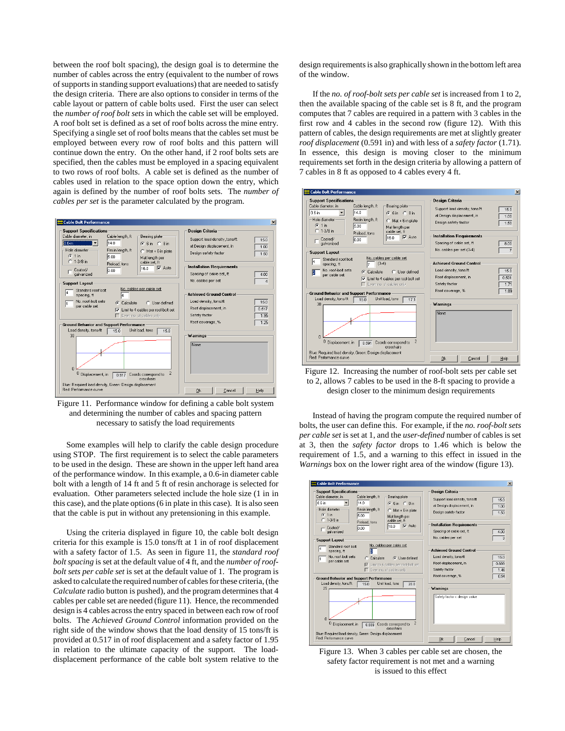between the roof bolt spacing), the design goal is to determine the number of cables across the entry (equivalent to the number of rows of supports in standing support evaluations) that are needed to satisfy the design criteria. There are also options to consider in terms of the cable layout or pattern of cable bolts used. First the user can select the *number of roof bolt sets* in which the cable set will be employed. A roof bolt set is defined as a set of roof bolts across the mine entry. Specifying a single set of roof bolts means that the cables set must be employed between every row of roof bolts and this pattern will continue down the entry. On the other hand, if 2 roof bolts sets are specified, then the cables must be employed in a spacing equivalent to two rows of roof bolts. A cable set is defined as the number of cables used in relation to the space option down the entry, which again is defined by the number of roof bolts sets. The *number of cables per set* is the parameter calculated by the program.



Figure 11. Performance window for defining a cable bolt system and determining the number of cables and spacing pattern necessary to satisfy the load requirements

Some examples will help to clarify the cable design procedure using STOP. The first requirement is to select the cable parameters to be used in the design. These are shown in the upper left hand area of the performance window. In this example, a 0.6-in diameter cable bolt with a length of 14 ft and 5 ft of resin anchorage is selected for evaluation. Other parameters selected include the hole size (1 in in this case), and the plate options (6 in plate in this case). It is also seen that the cable is put in without any pretensioning in this example.

Using the criteria displayed in figure 10, the cable bolt design criteria for this example is 15.0 tons/ft at 1 in of roof displacement with a safety factor of 1.5. As seen in figure 11, the *standard roof bolt spacing* is set at the default value of 4 ft, and the *number of roofbolt sets per cable set* is set at the default value of 1. The program is asked to calculate the required number of cables for these criteria, (the *Calculate* radio button is pushed), and the program determines that 4 cables per cable set are needed (figure 11). Hence, the recommended design is 4 cables across the entry spaced in between each row of roof bolts. The *Achieved Ground Control* information provided on the right side of the window shows that the load density of 15 tons/ft is provided at 0.517 in of roof displacement and a safety factor of 1.95 in relation to the ultimate capacity of the support. The loaddisplacement performance of the cable bolt system relative to the

design requirements is also graphically shown in the bottom left area of the window.

If the *no. of roof-bolt sets per cable set* is increased from 1 to 2, then the available spacing of the cable set is 8 ft, and the program computes that 7 cables are required in a pattern with 3 cables in the first row and 4 cables in the second row (figure 12). With this pattern of cables, the design requirements are met at slightly greater *roof displacement* (0.591 in) and with less of a *safety factor* (1.71). In essence, this design is moving closer to the minimum requirements set forth in the design criteria by allowing a pattern of 7 cables in 8 ft as opposed to 4 cables every 4 ft.



Figure 12. Increasing the number of roof-bolt sets per cable set to 2, allows 7 cables to be used in the 8-ft spacing to provide a design closer to the minimum design requirements

Instead of having the program compute the required number of bolts, the user can define this. For example, if the *no. roof-bolt sets per cable set* is set at 1, and the *user-defined* number of cables is set at 3, then the *safety factor* drops to 1.46 which is below the requirement of 1.5, and a warning to this effect in issued in the *Warnings* box on the lower right area of the window (figure 13).



Figure 13. When 3 cables per cable set are chosen, the safety factor requirement is not met and a warning is issued to this effect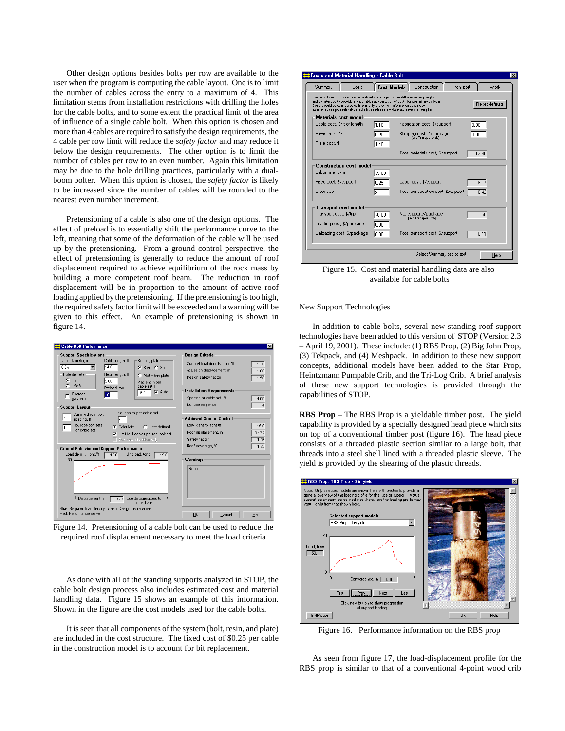Other design options besides bolts per row are available to the user when the program is computing the cable layout. One is to limit the number of cables across the entry to a maximum of 4. This limitation stems from installation restrictions with drilling the holes for the cable bolts, and to some extent the practical limit of the area of influence of a single cable bolt. When this option is chosen and more than 4 cables are required to satisfy the design requirements, the 4 cable per row limit will reduce the *safety factor* and may reduce it below the design requirements. The other option is to limit the number of cables per row to an even number. Again this limitation may be due to the hole drilling practices, particularly with a dualboom bolter. When this option is chosen, the *safety factor* is likely to be increased since the number of cables will be rounded to the nearest even number increment.

Pretensioning of a cable is also one of the design options. The effect of preload is to essentially shift the performance curve to the left, meaning that some of the deformation of the cable will be used up by the pretensioning. From a ground control perspective, the effect of pretensioning is generally to reduce the amount of roof displacement required to achieve equilibrium of the rock mass by building a more competent roof beam. The reduction in roof displacement will be in proportion to the amount of active roof loading applied by the pretensioning. If the pretensioning is too high, the required safety factor limit will be exceeded and a warning will be given to this effect. An example of pretensioning is shown in figure 14.



Figure 14. Pretensioning of a cable bolt can be used to reduce the required roof displacement necessary to meet the load criteria

As done with all of the standing supports analyzed in STOP, the cable bolt design process also includes estimated cost and material handling data. Figure 15 shows an example of this information. Shown in the figure are the cost models used for the cable bolts.

It is seen that all components of the system (bolt, resin, and plate) are included in the cost structure. The fixed cost of \$0.25 per cable in the construction model is to account for bit replacement.



Figure 15. Cost and material handling data are also available for cable bolts

New Support Technologies

In addition to cable bolts, several new standing roof support technologies have been added to this version of STOP (Version 2.3 – April 19, 2001). These include: (1) RBS Prop, (2) Big John Prop, (3) Tekpack, and (4) Meshpack. In addition to these new support concepts, additional models have been added to the Star Prop, Heintzmann Pumpable Crib, and the Tri-Log Crib. A brief analysis of these new support technologies is provided through the capabilities of STOP.

**RBS Prop** – The RBS Prop is a yieldable timber post. The yield capability is provided by a specially designed head piece which sits on top of a conventional timber post (figure 16). The head piece consists of a threaded plastic section similar to a large bolt, that threads into a steel shell lined with a threaded plastic sleeve. The yield is provided by the shearing of the plastic threads.



Figure 16. Performance information on the RBS prop

As seen from figure 17, the load-displacement profile for the RBS prop is similar to that of a conventional 4-point wood crib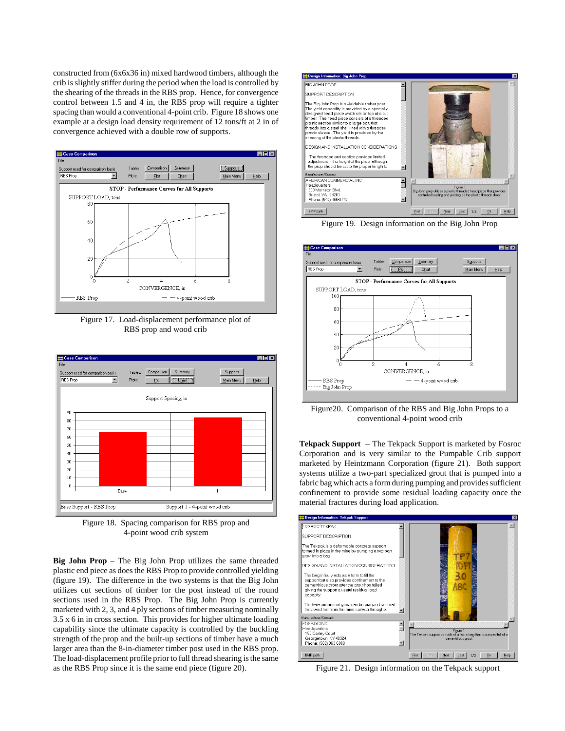constructed from (6x6x36 in) mixed hardwood timbers, although the crib is slightly stiffer during the period when the load is controlled by the shearing of the threads in the RBS prop. Hence, for convergence control between 1.5 and 4 in, the RBS prop will require a tighter spacing than would a conventional 4-point crib. Figure 18 shows one example at a design load density requirement of 12 tons/ft at 2 in of convergence achieved with a double row of supports.



Figure 17. Load-displacement performance plot of RBS prop and wood crib



Figure 18. Spacing comparison for RBS prop and 4-point wood crib system

**Big John Prop** – The Big John Prop utilizes the same threaded plastic end piece as does the RBS Prop to provide controlled yielding (figure 19). The difference in the two systems is that the Big John utilizes cut sections of timber for the post instead of the round sections used in the RBS Prop. The Big John Prop is currently marketed with 2, 3, and 4 ply sections of timber measuring nominally 3.5 x 6 in in cross section. This provides for higher ultimate loading capability since the ultimate capacity is controlled by the buckling strength of the prop and the built-up sections of timber have a much larger area than the 8-in-diameter timber post used in the RBS prop. The load-displacement profile prior to full thread shearing is the same as the RBS Prop since it is the same end piece (figure 20).



Figure 19. Design information on the Big John Prop



Figure20. Comparison of the RBS and Big John Props to a conventional 4-point wood crib

**Tekpack Support** – The Tekpack Support is marketed by Fosroc Corporation and is very similar to the Pumpable Crib support marketed by Heintzmann Corporation (figure 21). Both support systems utilize a two-part specialized grout that is pumped into a fabric bag which acts a form during pumping and provides sufficient confinement to provide some residual loading capacity once the material fractures during load application.



Figure 21. Design information on the Tekpack support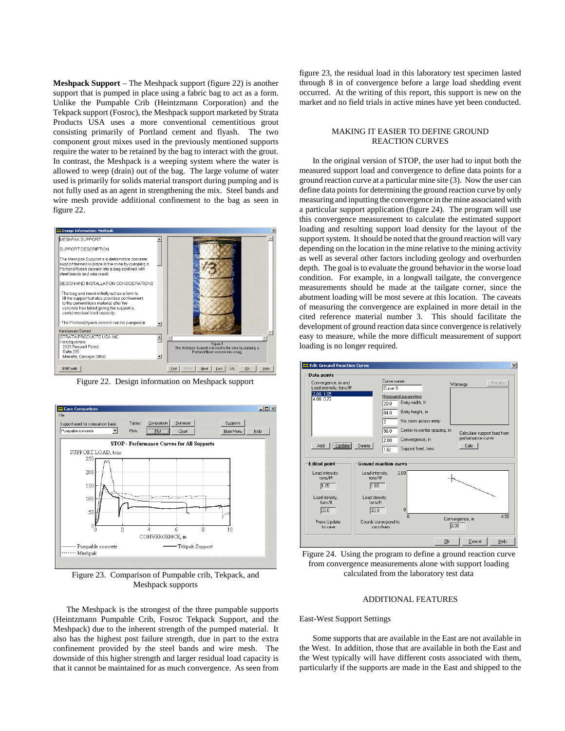**Meshpack Support** – The Meshpack support (figure 22) is another support that is pumped in place using a fabric bag to act as a form. Unlike the Pumpable Crib (Heintzmann Corporation) and the Tekpack support (Fosroc), the Meshpack support marketed by Strata Products USA uses a more conventional cementitious grout consisting primarily of Portland cement and flyash. The two component grout mixes used in the previously mentioned supports require the water to be retained by the bag to interact with the grout. In contrast, the Meshpack is a weeping system where the water is allowed to weep (drain) out of the bag. The large volume of water used is primarily for solids material transport during pumping and is not fully used as an agent in strengthening the mix. Steel bands and wire mesh provide additional confinement to the bag as seen in figure 22.



Figure 22. Design information on Meshpack support



Figure 23. Comparison of Pumpable crib, Tekpack, and Meshpack supports

The Meshpack is the strongest of the three pumpable supports (Heintzmann Pumpable Crib, Fosroc Tekpack Support, and the Meshpack) due to the inherent strength of the pumped material. It also has the highest post failure strength, due in part to the extra confinement provided by the steel bands and wire mesh. The downside of this higher strength and larger residual load capacity is that it cannot be maintained for as much convergence. As seen from

figure 23, the residual load in this laboratory test specimen lasted through 8 in of convergence before a large load shedding event occurred. At the writing of this report, this support is new on the market and no field trials in active mines have yet been conducted.

# MAKING IT EASIER TO DEFINE GROUND REACTION CURVES

In the original version of STOP, the user had to input both the measured support load and convergence to define data points for a ground reaction curve at a particular mine site (3). Now the user can define data points for determining the ground reaction curve by only measuring and inputting the convergence in the mine associated with a particular support application (figure 24). The program will use this convergence measurement to calculate the estimated support loading and resulting support load density for the layout of the support system. It should be noted that the ground reaction will vary depending on the location in the mine relative to the mining activity as well as several other factors including geology and overburden depth. The goal is to evaluate the ground behavior in the worse load condition. For example, in a longwall tailgate, the convergence measurements should be made at the tailgate corner, since the abutment loading will be most severe at this location. The caveats of measuring the convergence are explained in more detail in the cited reference material number 3. This should facilitate the development of ground reaction data since convergence is relatively easy to measure, while the more difficult measurement of support loading is no longer required.



Figure 24. Using the program to define a ground reaction curve from convergence measurements alone with support loading calculated from the laboratory test data

# ADDITIONAL FEATURES

#### East-West Support Settings

Some supports that are available in the East are not available in the West. In addition, those that are available in both the East and the West typically will have different costs associated with them, particularly if the supports are made in the East and shipped to the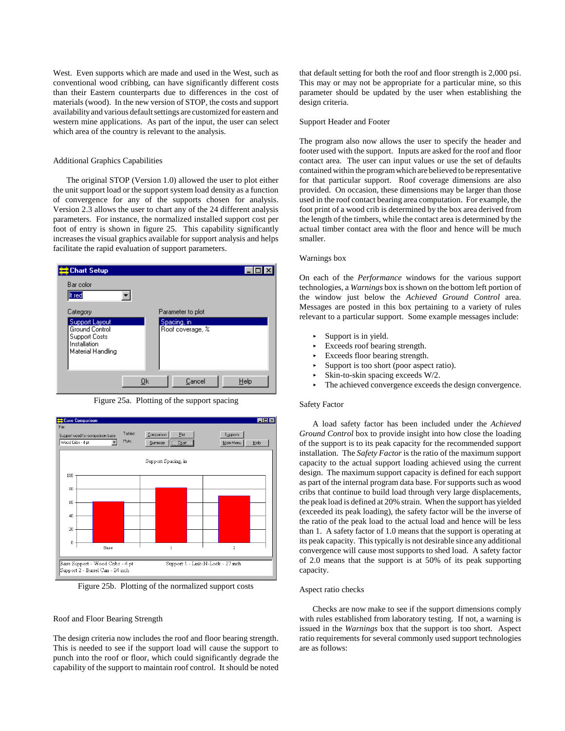West. Even supports which are made and used in the West, such as conventional wood cribbing, can have significantly different costs than their Eastern counterparts due to differences in the cost of materials (wood). In the new version of STOP, the costs and support availability and various default settings are customized for eastern and western mine applications. As part of the input, the user can select which area of the country is relevant to the analysis.

## Additional Graphics Capabilities

The original STOP (Version 1.0) allowed the user to plot either the unit support load or the support system load density as a function of convergence for any of the supports chosen for analysis. Version 2.3 allows the user to chart any of the 24 different analysis parameters. For instance, the normalized installed support cost per foot of entry is shown in figure 25. This capability significantly increases the visual graphics available for support analysis and helps facilitate the rapid evaluation of support parameters.



Figure 25a. Plotting of the support spacing



Figure 25b. Plotting of the normalized support costs

Roof and Floor Bearing Strength

The design criteria now includes the roof and floor bearing strength. This is needed to see if the support load will cause the support to punch into the roof or floor, which could significantly degrade the capability of the support to maintain roof control. It should be noted that default setting for both the roof and floor strength is 2,000 psi. This may or may not be appropriate for a particular mine, so this parameter should be updated by the user when establishing the design criteria.

## Support Header and Footer

The program also now allows the user to specify the header and footer used with the support. Inputs are asked for the roof and floor contact area. The user can input values or use the set of defaults contained within the program which are believed to be representative for that particular support. Roof coverage dimensions are also provided. On occasion, these dimensions may be larger than those used in the roof contact bearing area computation. For example, the foot print of a wood crib is determined by the box area derived from the length of the timbers, while the contact area is determined by the actual timber contact area with the floor and hence will be much smaller.

#### Warnings box

On each of the *Performance* windows for the various support technologies, a *Warnings* box is shown on the bottom left portion of the window just below the *Achieved Ground Control* area. Messages are posted in this box pertaining to a variety of rules relevant to a particular support. Some example messages include:

- $\blacktriangleright$  Support is in yield.
- Exceeds roof bearing strength.
- Exceeds floor bearing strength.
- < Support is too short (poor aspect ratio).
- Skin-to-skin spacing exceeds W/2.
- The achieved convergence exceeds the design convergence.

#### Safety Factor

A load safety factor has been included under the *Achieved Ground Control* box to provide insight into how close the loading of the support is to its peak capacity for the recommended support installation. The *Safety Factor* is the ratio of the maximum support capacity to the actual support loading achieved using the current design. The maximum support capacity is defined for each support as part of the internal program data base. For supports such as wood cribs that continue to build load through very large displacements, the peak load is defined at 20% strain. When the support has yielded (exceeded its peak loading), the safety factor will be the inverse of the ratio of the peak load to the actual load and hence will be less than 1. A safety factor of 1.0 means that the support is operating at its peak capacity. This typically is not desirable since any additional convergence will cause most supports to shed load. A safety factor of 2.0 means that the support is at 50% of its peak supporting capacity.

#### Aspect ratio checks

Checks are now make to see if the support dimensions comply with rules established from laboratory testing. If not, a warning is issued in the *Warnings* box that the support is too short. Aspect ratio requirements for several commonly used support technologies are as follows: